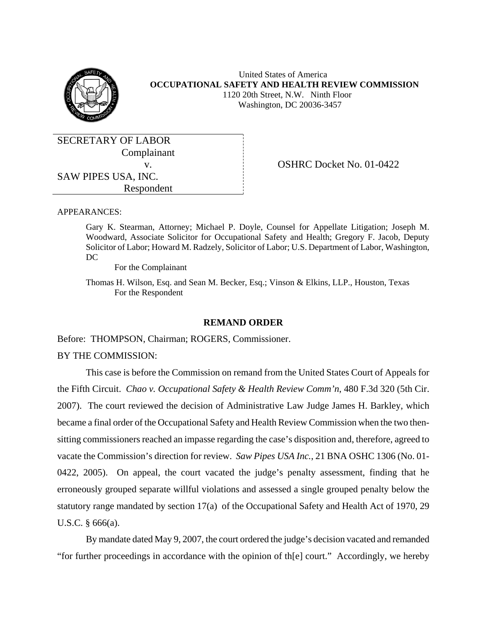

United States of America **OCCUPATIONAL SAFETY AND HEALTH REVIEW COMMISSION** 1120 20th Street, N.W. Ninth Floor Washington, DC 20036-3457

SECRETARY OF LABOR Complainant SAW PIPES USA, INC. Respondent

v. CSHRC Docket No. 01-0422

APPEARANCES:

Gary K. Stearman, Attorney; Michael P. Doyle, Counsel for Appellate Litigation; Joseph M. Woodward, Associate Solicitor for Occupational Safety and Health; Gregory F. Jacob, Deputy Solicitor of Labor; Howard M. Radzely, Solicitor of Labor; U.S. Department of Labor, Washington, DC

For the Complainant

Thomas H. Wilson, Esq. and Sean M. Becker, Esq.; Vinson & Elkins, LLP., Houston, Texas For the Respondent

#### **REMAND ORDER**

Before: THOMPSON, Chairman; ROGERS, Commissioner.

# BY THE COMMISSION:

This case is before the Commission on remand from the United States Court of Appeals for the Fifth Circuit. *Chao v. Occupational Safety & Health Review Comm'n*, 480 F.3d 320 (5th Cir. 2007). The court reviewed the decision of Administrative Law Judge James H. Barkley, which became a final order of the Occupational Safety and Health Review Commission when the two thensitting commissioners reached an impasse regarding the case's disposition and, therefore, agreed to vacate the Commission's direction for review. *Saw Pipes USA Inc.*, 21 BNA OSHC 1306 (No. 01- 0422, 2005). On appeal, the court vacated the judge's penalty assessment, finding that he erroneously grouped separate willful violations and assessed a single grouped penalty below the statutory range mandated by section 17(a) of the Occupational Safety and Health Act of 1970, 29 U.S.C. § 666(a).

By mandate dated May 9, 2007, the court ordered the judge's decision vacated and remanded "for further proceedings in accordance with the opinion of th[e] court." Accordingly, we hereby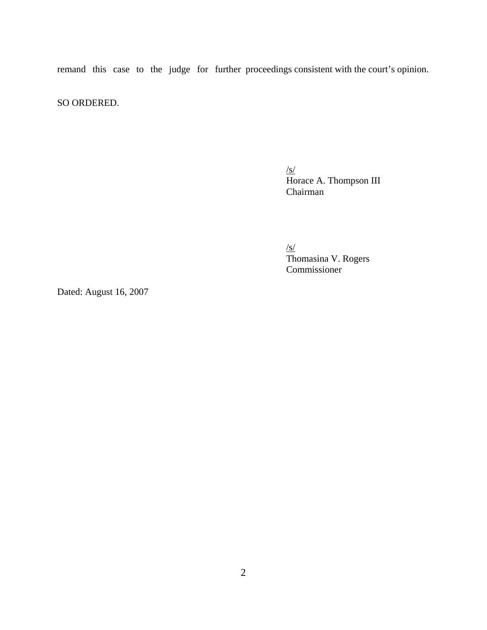remand this case to the judge for further proceedings consistent with the court's opinion.

SO ORDERED.

/s/ Horace A. Thompson III Chairman

 $\sqrt{s/2}$  Thomasina V. Rogers Commissioner

Dated: August 16, 2007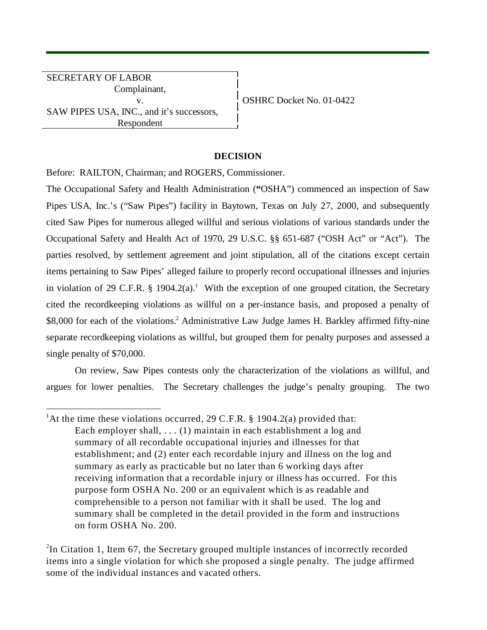SECRETARY OF LABOR Complainant, SAW PIPES USA, INC., and it's successors, Respondent

v.  $\overline{OSHRC}$  Docket No. 01-0422

#### **DECISION**

Before: RAILTON, Chairman; and ROGERS, Commissioner.

The Occupational Safety and Health Administration (**"**OSHA") commenced an inspection of Saw Pipes USA, Inc.'s ("Saw Pipes") facility in Baytown, Texas on July 27, 2000, and subsequently cited Saw Pipes for numerous alleged willful and serious violations of various standards under the Occupational Safety and Health Act of 1970, 29 U.S.C. §§ 651-687 ("OSH Act" or "Act"). The parties resolved, by settlement agreement and joint stipulation, all of the citations except certain items pertaining to Saw Pipes' alleged failure to properly record occupational illnesses and injuries in violation of 29 C.F.R.  $\S$  1904.2(a).<sup>1</sup> With the exception of one grouped citation, the Secretary cited the recordkeeping violations as willful on a per-instance basis, and proposed a penalty of \$8,000 for each of the violations.<sup>2</sup> Administrative Law Judge James H. Barkley affirmed fifty-nine separate recordkeeping violations as willful, but grouped them for penalty purposes and assessed a single penalty of \$70,000.

On review, Saw Pipes contests only the characterization of the violations as willful, and argues for lower penalties. The Secretary challenges the judge's penalty grouping. The two

<sup>&</sup>lt;sup>1</sup>[At](#page-30-0) the time these violations occurred, 29 C.F.R. § 1904.2(a) provided that: Each employer shall, . . . (1) maintain in each establishment a log and summary of all recordable occupational injuries and illnesses for that establishment; and (2) enter each recordable injury and illness on the log and summary as early as practicable but no later than 6 working days after receiving information that a recordable injury or illness has occurred. For this purpose form OSHA No. 200 or an equivalent which is as readable and comprehensible to a person not familiar with it shall be used. The log and summary shall be completed in the detail provided in the form and instructions on form OSHA No. 200.

 $2$ [In](#page-30-0) Citation 1, Item 67, the Secretary grouped multiple instances of incorrectly recorded items into a single violation for which she proposed a single penalty. The judge affirmed some of the individual instances and vacated others.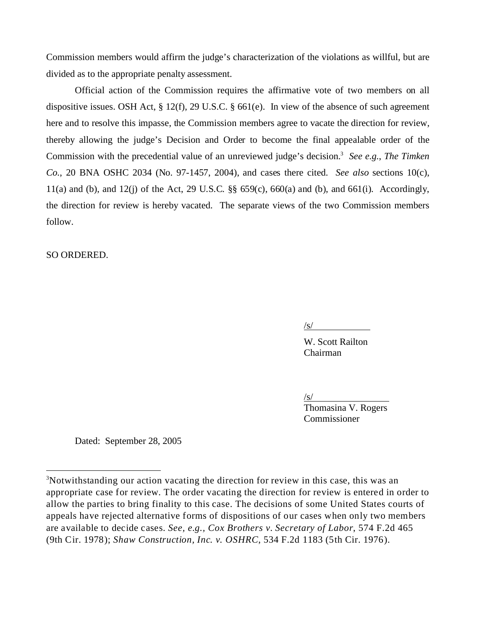Commission members would affirm the judge's characterization of the violations as willful, but are divided as to the appropriate penalty assessment.

Commission with the precedential value of an unreviewed judge's decision.<sup>3</sup> *See e.g., The Timken* Official action of the Commission requires the affirmative vote of two members on all dispositive issues. OSH Act, § 12(f), 29 U.S.C. § 661(e). In view of the absence of such agreement here and to resolve this impasse, the Commission members agree to vacate the direction for review, thereby allowing the judge's Decision and Order to become the final appealable order of the *Co.*, 20 BNA OSHC 2034 (No. 97-1457, 2004), and cases there cited. *See also* sections 10(c), 11(a) and (b), and 12(j) of the Act, 29 U.S.C.  $\S$  659(c), 660(a) and (b), and 661(i). Accordingly, the direction for review is hereby vacated. The separate views of the two Commission members follow.

SO ORDERED.

 $\sqrt{s}$ /

W. Scott Railton Chairman

/s/

Thomasina V. Rogers Commissioner

Dated: September 28, 2005

<sup>&</sup>lt;sup>3</sup>[Notwithstanding](#page-30-0) our action vacating the direction for review in this case, this was an appropriate case for review. The order vacating the direction for review is entered in order to allow the parties to bring finality to this case. The decisions of some United States courts of appeals have rejected alternative forms of dispositions of our cases when only two members are available to decide cases. *See, e.g., Cox Brothers v. Secretary of Labor*, 574 F.2d 465 (9th Cir. 1978); *Shaw Construction, Inc. v. OSHRC*, 534 F.2d 1183 (5th Cir. 1976).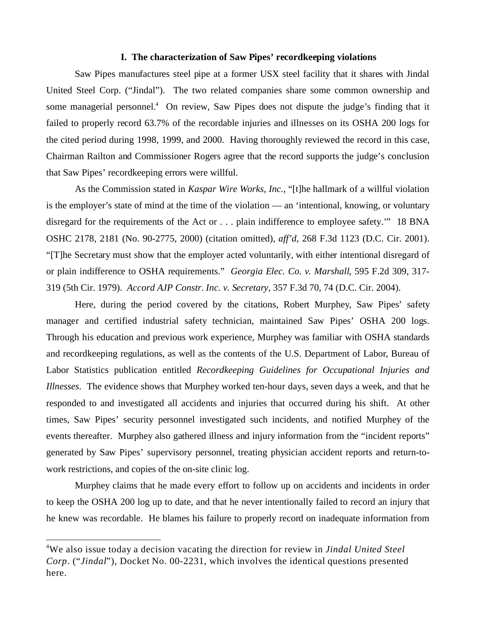## **I. The characterization of Saw Pipes' recordkeeping violations**

Saw Pipes manufactures steel pipe at a former USX steel facility that it shares with Jindal United Steel Corp. ("Jindal"). The two related companies share some common ownership and some managerial personnel.<sup>4</sup> On review, Saw Pipes does not dispute the judge's finding that it failed to properly record 63.7% of the recordable injuries and illnesses on its OSHA 200 logs for the cited period during 1998, 1999, and 2000. Having thoroughly reviewed the record in this case, Chairman Railton and Commissioner Rogers agree that the record supports the judge's conclusion that Saw Pipes' recordkeeping errors were willful.

As the Commission stated in *Kaspar Wire Works, Inc.*, "[t]he hallmark of a willful violation is the employer's state of mind at the time of the violation — an 'intentional, knowing, or voluntary disregard for the requirements of the Act or . . . plain indifference to employee safety.'" 18 BNA OSHC 2178, 2181 (No. 90-2775, 2000) (citation omitted), *aff'd,* 268 F.3d 1123 (D.C. Cir. 2001). "[T]he Secretary must show that the employer acted voluntarily, with either intentional disregard of or plain indifference to OSHA requirements." *Georgia Elec. Co. v. Marshall*, 595 F.2d 309, 317 319 (5th Cir. 1979). *Accord AJP Constr. Inc. v. Secretary*, 357 F.3d 70, 74 (D.C. Cir. 2004).

 *Illnesses*. The evidence shows that Murphey worked ten-hour days, seven days a week, and that he Here, during the period covered by the citations, Robert Murphey, Saw Pipes' safety manager and certified industrial safety technician, maintained Saw Pipes' OSHA 200 logs. Through his education and previous work experience, Murphey was familiar with OSHA standards and recordkeeping regulations, as well as the contents of the U.S. Department of Labor, Bureau of Labor Statistics publication entitled *Recordkeeping Guidelines for Occupational Injuries and*  responded to and investigated all accidents and injuries that occurred during his shift. At other times, Saw Pipes' security personnel investigated such incidents, and notified Murphey of the events thereafter. Murphey also gathered illness and injury information from the "incident reports" generated by Saw Pipes' supervisory personnel, treating physician accident reports and return-towork restrictions, and copies of the on-site clinic log.

Murphey claims that he made every effort to follow up on accidents and incidents in order to keep the OSHA 200 log up to date, and that he never intentionally failed to record an injury that he knew was recordable. He blames his failure to properly record on inadequate information from

<sup>4</sup> [We](#page-30-0) also issue today a decision vacating the direction for review in *Jindal United Steel Corp*. ("*Jindal*"), Docket No. 00-2231, which involves the identical questions presented here.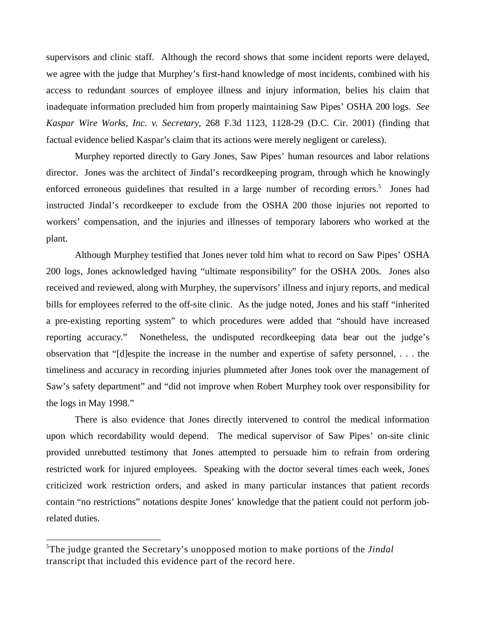supervisors and clinic staff. Although the record shows that some incident reports were delayed, we agree with the judge that Murphey's first-hand knowledge of most incidents, combined with his access to redundant sources of employee illness and injury information, belies his claim that inadequate information precluded him from properly maintaining Saw Pipes' OSHA 200 logs. *See Kaspar Wire Works, Inc. v. Secretary*, 268 F.3d 1123, 1128-29 (D.C. Cir. 2001) (finding that factual evidence belied Kaspar's claim that its actions were merely negligent or careless).

Murphey reported directly to Gary Jones, Saw Pipes' human resources and labor relations director. Jones was the architect of Jindal's recordkeeping program, through which he knowingly enforced erroneous guidelines that resulted in a large number of recording errors.<sup>5</sup> Jones had instructed Jindal's recordkeeper to exclude from the OSHA 200 those injuries not reported to workers' compensation, and the injuries and illnesses of temporary laborers who worked at the plant.

Although Murphey testified that Jones never told him what to record on Saw Pipes' OSHA 200 logs, Jones acknowledged having "ultimate responsibility" for the OSHA 200s. Jones also received and reviewed, along with Murphey, the supervisors' illness and injury reports, and medical bills for employees referred to the off-site clinic. As the judge noted, Jones and his staff "inherited a pre-existing reporting system" to which procedures were added that "should have increased reporting accuracy." Nonetheless, the undisputed recordkeeping data bear out the judge's observation that "[d]espite the increase in the number and expertise of safety personnel, . . . the timeliness and accuracy in recording injuries plummeted after Jones took over the management of Saw's safety department" and "did not improve when Robert Murphey took over responsibility for the logs in May 1998."

There is also evidence that Jones directly intervened to control the medical information upon which recordability would depend. The medical supervisor of Saw Pipes' on-site clinic provided unrebutted testimony that Jones attempted to persuade him to refrain from ordering restricted work for injured employees. Speaking with the doctor several times each week, Jones criticized work restriction orders, and asked in many particular instances that patient records contain "no restrictions" notations despite Jones' knowledge that the patient could not perform jobrelated duties.

<sup>5</sup> [The](#page-30-0) judge granted the Secretary's unopposed motion to make portions of the *Jindal*  transcript that included this evidence part of the record here.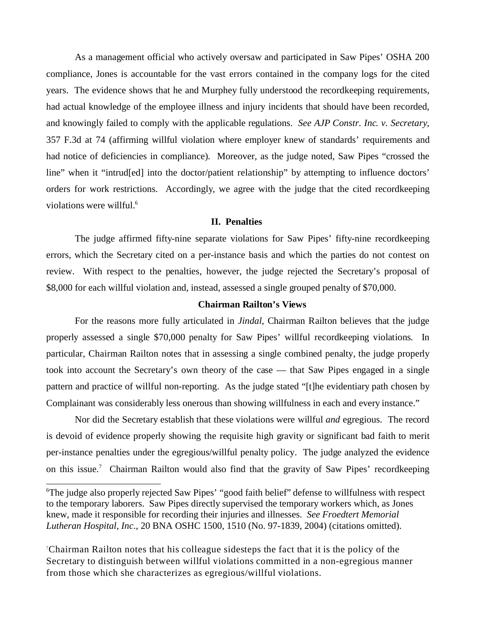As a management official who actively oversaw and participated in Saw Pipes' OSHA 200 compliance, Jones is accountable for the vast errors contained in the company logs for the cited years. The evidence shows that he and Murphey fully understood the recordkeeping requirements, had actual knowledge of the employee illness and injury incidents that should have been recorded, and knowingly failed to comply with the applicable regulations. *See AJP Constr. Inc. v. Secretary*, 357 F.3d at 74 (affirming willful violation where employer knew of standards' requirements and had notice of deficiencies in compliance). Moreover, as the judge noted, Saw Pipes "crossed the line" when it "intrud[ed] into the doctor/patient relationship" by attempting to influence doctors' orders for work restrictions. Accordingly, we agree with the judge that the cited recordkeeping violations were willful.<sup>6</sup>

## **II. Penalties**

The judge affirmed fifty-nine separate violations for Saw Pipes' fifty-nine recordkeeping errors, which the Secretary cited on a per-instance basis and which the parties do not contest on review. With respect to the penalties, however, the judge rejected the Secretary's proposal of \$8,000 for each willful violation and, instead, assessed a single grouped penalty of \$70,000.

# **Chairman Railton's Views**

For the reasons more fully articulated in *Jindal*, Chairman Railton believes that the judge properly assessed a single \$70,000 penalty for Saw Pipes' willful recordkeeping violations. In particular, Chairman Railton notes that in assessing a single combined penalty, the judge properly took into account the Secretary's own theory of the case — that Saw Pipes engaged in a single pattern and practice of willful non-reporting. As the judge stated "[t]he evidentiary path chosen by Complainant was considerably less onerous than showing willfulness in each and every instance."

Nor did the Secretary establish that these violations were willful *and* egregious. The record is devoid of evidence properly showing the requisite high gravity or significant bad faith to merit per-instance penalties under the egregious/willful penalty policy. The judge analyzed the evidence on this issue.<sup>7</sup> Chairman Railton would also find that the gravity of Saw Pipes' recordkeeping

7 [Chairman](#page-30-0) Railton notes that his colleague sidesteps the fact that it is the policy of the Secretary to distinguish between willful violations committed in a non-egregious manner from those which she characterizes as egregious/willful violations.

<sup>6</sup> [The](#page-30-0) judge also properly rejected Saw Pipes' "good faith belief" defense to willfulness with respect to the temporary laborers. Saw Pipes directly supervised the temporary workers which, as Jones knew, made it responsible for recording their injuries and illnesses. *See Froedtert Memorial Lutheran Hospital, Inc*., 20 BNA OSHC 1500, 1510 (No. 97-1839, 2004) (citations omitted).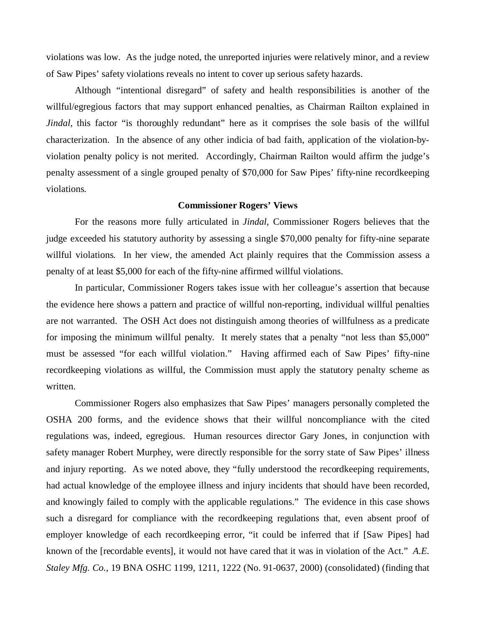violations was low. As the judge noted, the unreported injuries were relatively minor, and a review of Saw Pipes' safety violations reveals no intent to cover up serious safety hazards.

Although "intentional disregard" of safety and health responsibilities is another of the willful/egregious factors that may support enhanced penalties, as Chairman Railton explained in *Jindal*, this factor "is thoroughly redundant" here as it comprises the sole basis of the willful characterization. In the absence of any other indicia of bad faith, application of the violation-byviolation penalty policy is not merited. Accordingly, Chairman Railton would affirm the judge's penalty assessment of a single grouped penalty of \$70,000 for Saw Pipes' fifty-nine recordkeeping violations.

# **Commissioner Rogers' Views**

For the reasons more fully articulated in *Jindal*, Commissioner Rogers believes that the judge exceeded his statutory authority by assessing a single \$70,000 penalty for fifty-nine separate willful violations. In her view, the amended Act plainly requires that the Commission assess a penalty of at least \$5,000 for each of the fifty-nine affirmed willful violations.

In particular, Commissioner Rogers takes issue with her colleague's assertion that because the evidence here shows a pattern and practice of willful non-reporting, individual willful penalties are not warranted. The OSH Act does not distinguish among theories of willfulness as a predicate for imposing the minimum willful penalty. It merely states that a penalty "not less than \$5,000" must be assessed "for each willful violation." Having affirmed each of Saw Pipes' fifty-nine recordkeeping violations as willful, the Commission must apply the statutory penalty scheme as written.

Commissioner Rogers also emphasizes that Saw Pipes' managers personally completed the OSHA 200 forms, and the evidence shows that their willful noncompliance with the cited regulations was, indeed, egregious. Human resources director Gary Jones, in conjunction with safety manager Robert Murphey, were directly responsible for the sorry state of Saw Pipes' illness and injury reporting. As we noted above, they "fully understood the recordkeeping requirements, had actual knowledge of the employee illness and injury incidents that should have been recorded, and knowingly failed to comply with the applicable regulations." The evidence in this case shows such a disregard for compliance with the recordkeeping regulations that, even absent proof of employer knowledge of each recordkeeping error, "it could be inferred that if [Saw Pipes] had known of the [recordable events], it would not have cared that it was in violation of the Act." *A.E. Staley Mfg. Co.*, 19 BNA OSHC 1199, 1211, 1222 (No. 91-0637, 2000) (consolidated) (finding that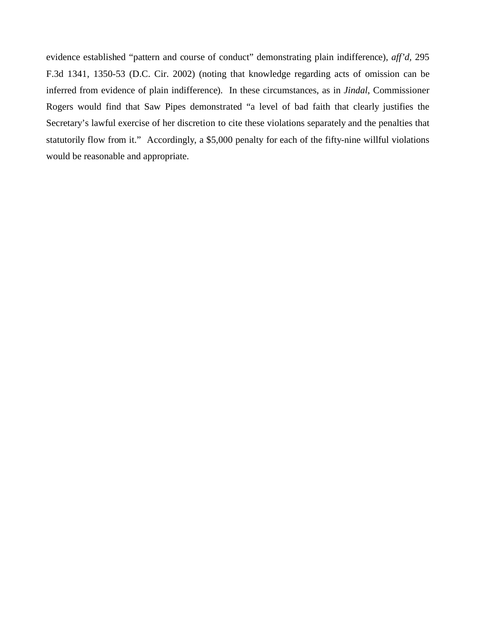evidence established "pattern and course of conduct" demonstrating plain indifference), *aff'd,* 295 F.3d 1341, 1350-53 (D.C. Cir. 2002) (noting that knowledge regarding acts of omission can be inferred from evidence of plain indifference). In these circumstances, as in *Jindal*, Commissioner Rogers would find that Saw Pipes demonstrated "a level of bad faith that clearly justifies the Secretary's lawful exercise of her discretion to cite these violations separately and the penalties that statutorily flow from it." Accordingly, a \$5,000 penalty for each of the fifty-nine willful violations would be reasonable and appropriate.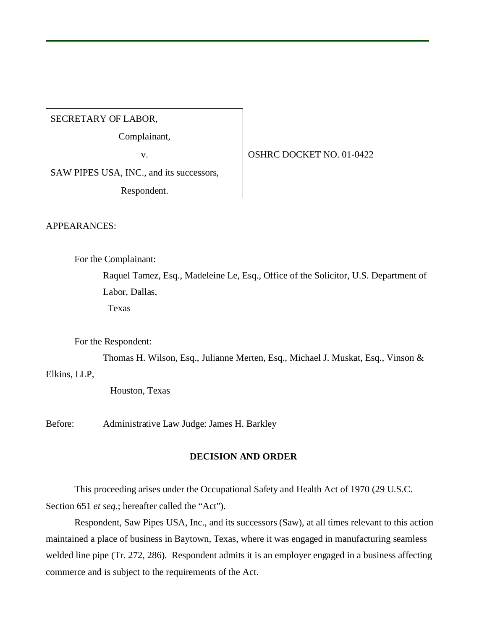# SECRETARY OF LABOR,

Complainant,

v. SOUTH OSHRC DOCKET NO. 01-0422

SAW PIPES USA, INC., and its successors,

Respondent.

APPEARANCES:

For the Complainant:

Raquel Tamez, Esq., Madeleine Le, Esq., Office of the Solicitor, U.S. Department of Labor, Dallas,

Texas

For the Respondent:

Thomas H. Wilson, Esq., Julianne Merten, Esq., Michael J. Muskat, Esq., Vinson & Elkins, LLP,

Houston, Texas

Before: Administrative Law Judge: James H. Barkley

# **DECISION AND ORDER**

This proceeding arises under the Occupational Safety and Health Act of 1970 (29 U.S.C. Section 651 *et seq.*; hereafter called the "Act").

Respondent, Saw Pipes USA, Inc., and its successors (Saw), at all times relevant to this action maintained a place of business in Baytown, Texas, where it was engaged in manufacturing seamless welded line pipe (Tr. 272, 286). Respondent admits it is an employer engaged in a business affecting commerce and is subject to the requirements of the Act.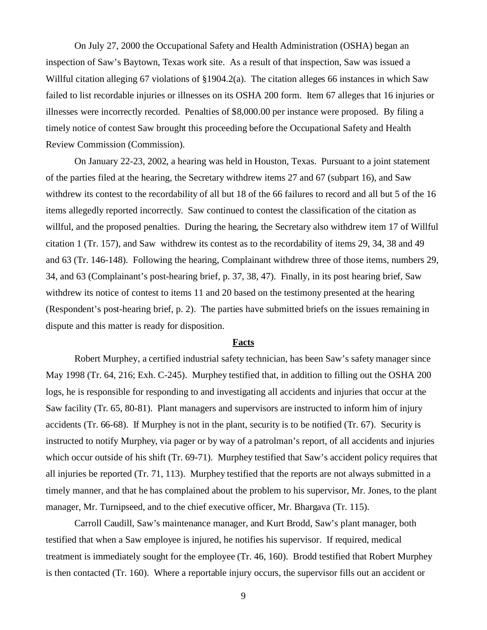On July 27, 2000 the Occupational Safety and Health Administration (OSHA) began an inspection of Saw's Baytown, Texas work site. As a result of that inspection, Saw was issued a Willful citation alleging 67 violations of §1904.2(a). The citation alleges 66 instances in which Saw failed to list recordable injuries or illnesses on its OSHA 200 form. Item 67 alleges that 16 injuries or illnesses were incorrectly recorded. Penalties of \$8,000.00 per instance were proposed. By filing a timely notice of contest Saw brought this proceeding before the Occupational Safety and Health Review Commission (Commission).

On January 22-23, 2002, a hearing was held in Houston, Texas. Pursuant to a joint statement of the parties filed at the hearing, the Secretary withdrew items 27 and 67 (subpart 16), and Saw withdrew its contest to the recordability of all but 18 of the 66 failures to record and all but 5 of the 16 items allegedly reported incorrectly. Saw continued to contest the classification of the citation as willful, and the proposed penalties. During the hearing, the Secretary also withdrew item 17 of Willful citation 1 (Tr. 157), and Saw withdrew its contest as to the recordability of items 29, 34, 38 and 49 and 63 (Tr. 146-148). Following the hearing, Complainant withdrew three of those items, numbers 29, 34, and 63 (Complainant's post-hearing brief, p. 37, 38, 47). Finally, in its post hearing brief, Saw withdrew its notice of contest to items 11 and 20 based on the testimony presented at the hearing (Respondent's post-hearing brief, p. 2). The parties have submitted briefs on the issues remaining in dispute and this matter is ready for disposition.

#### **Facts**

Robert Murphey, a certified industrial safety technician, has been Saw's safety manager since May 1998 (Tr. 64, 216; Exh. C-245). Murphey testified that, in addition to filling out the OSHA 200 logs, he is responsible for responding to and investigating all accidents and injuries that occur at the Saw facility (Tr. 65, 80-81). Plant managers and supervisors are instructed to inform him of injury accidents (Tr. 66-68). If Murphey is not in the plant, security is to be notified (Tr. 67). Security is instructed to notify Murphey, via pager or by way of a patrolman's report, of all accidents and injuries which occur outside of his shift (Tr. 69-71). Murphey testified that Saw's accident policy requires that all injuries be reported (Tr. 71, 113). Murphey testified that the reports are not always submitted in a timely manner, and that he has complained about the problem to his supervisor, Mr. Jones, to the plant manager, Mr. Turnipseed, and to the chief executive officer, Mr. Bhargava (Tr. 115).

Carroll Caudill, Saw's maintenance manager, and Kurt Brodd, Saw's plant manager, both testified that when a Saw employee is injured, he notifies his supervisor. If required, medical treatment is immediately sought for the employee (Tr. 46, 160). Brodd testified that Robert Murphey is then contacted (Tr. 160). Where a reportable injury occurs, the supervisor fills out an accident or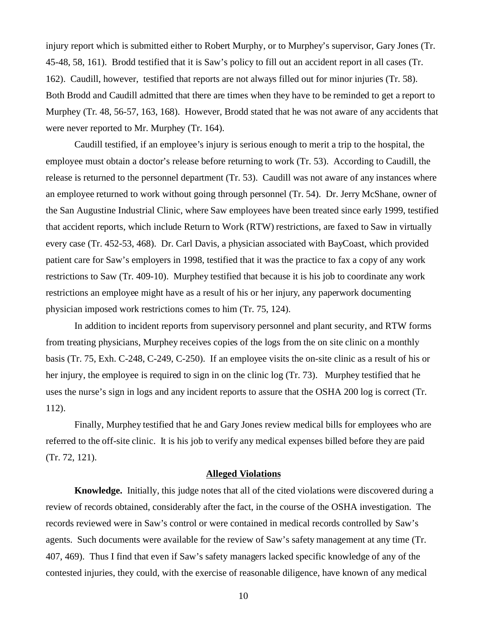injury report which is submitted either to Robert Murphy, or to Murphey's supervisor, Gary Jones (Tr. 45-48, 58, 161). Brodd testified that it is Saw's policy to fill out an accident report in all cases (Tr. 162). Caudill, however, testified that reports are not always filled out for minor injuries (Tr. 58). Both Brodd and Caudill admitted that there are times when they have to be reminded to get a report to Murphey (Tr. 48, 56-57, 163, 168). However, Brodd stated that he was not aware of any accidents that were never reported to Mr. Murphey (Tr. 164).

Caudill testified, if an employee's injury is serious enough to merit a trip to the hospital, the employee must obtain a doctor's release before returning to work (Tr. 53). According to Caudill, the release is returned to the personnel department (Tr. 53). Caudill was not aware of any instances where an employee returned to work without going through personnel (Tr. 54). Dr. Jerry McShane, owner of the San Augustine Industrial Clinic, where Saw employees have been treated since early 1999, testified that accident reports, which include Return to Work (RTW) restrictions, are faxed to Saw in virtually every case (Tr. 452-53, 468). Dr. Carl Davis, a physician associated with BayCoast, which provided patient care for Saw's employers in 1998, testified that it was the practice to fax a copy of any work restrictions to Saw (Tr. 409-10). Murphey testified that because it is his job to coordinate any work restrictions an employee might have as a result of his or her injury, any paperwork documenting physician imposed work restrictions comes to him (Tr. 75, 124).

In addition to incident reports from supervisory personnel and plant security, and RTW forms from treating physicians, Murphey receives copies of the logs from the on site clinic on a monthly basis (Tr. 75, Exh. C-248, C-249, C-250). If an employee visits the on-site clinic as a result of his or her injury, the employee is required to sign in on the clinic log (Tr. 73). Murphey testified that he uses the nurse's sign in logs and any incident reports to assure that the OSHA 200 log is correct (Tr. 112).

Finally, Murphey testified that he and Gary Jones review medical bills for employees who are referred to the off-site clinic. It is his job to verify any medical expenses billed before they are paid (Tr. 72, 121).

# **Alleged Violations**

**Knowledge.** Initially, this judge notes that all of the cited violations were discovered during a review of records obtained, considerably after the fact, in the course of the OSHA investigation. The records reviewed were in Saw's control or were contained in medical records controlled by Saw's agents. Such documents were available for the review of Saw's safety management at any time (Tr. 407, 469). Thus I find that even if Saw's safety managers lacked specific knowledge of any of the contested injuries, they could, with the exercise of reasonable diligence, have known of any medical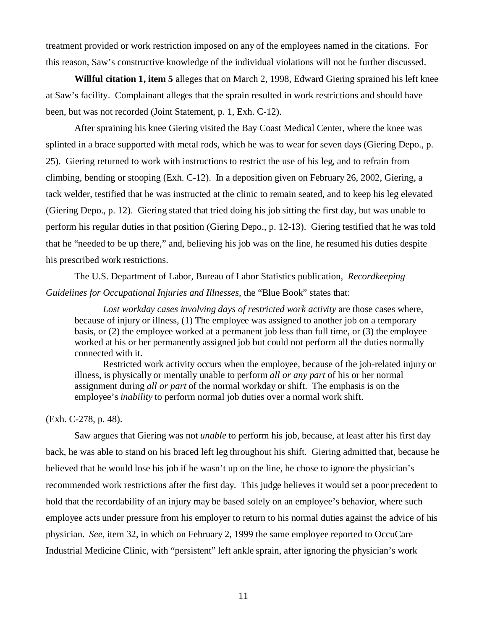treatment provided or work restriction imposed on any of the employees named in the citations. For this reason, Saw's constructive knowledge of the individual violations will not be further discussed.

**Willful citation 1, item 5** alleges that on March 2, 1998, Edward Giering sprained his left knee at Saw's facility. Complainant alleges that the sprain resulted in work restrictions and should have been, but was not recorded (Joint Statement, p. 1, Exh. C-12).

After spraining his knee Giering visited the Bay Coast Medical Center, where the knee was splinted in a brace supported with metal rods, which he was to wear for seven days (Giering Depo., p. 25). Giering returned to work with instructions to restrict the use of his leg, and to refrain from climbing, bending or stooping (Exh. C-12). In a deposition given on February 26, 2002, Giering, a tack welder, testified that he was instructed at the clinic to remain seated, and to keep his leg elevated (Giering Depo., p. 12). Giering stated that tried doing his job sitting the first day, but was unable to perform his regular duties in that position (Giering Depo., p. 12-13). Giering testified that he was told that he "needed to be up there," and, believing his job was on the line, he resumed his duties despite his prescribed work restrictions.

The U.S. Department of Labor, Bureau of Labor Statistics publication, *Recordkeeping Guidelines for Occupational Injuries and Illnesses*, the "Blue Book" states that:

*Lost workday cases involving days of restricted work activity* are those cases where, because of injury or illness, (1) The employee was assigned to another job on a temporary basis, or (2) the employee worked at a permanent job less than full time, or (3) the employee worked at his or her permanently assigned job but could not perform all the duties normally connected with it.

Restricted work activity occurs when the employee, because of the job-related injury or illness, is physically or mentally unable to perform *all or any part* of his or her normal assignment during *all or part* of the normal workday or shift. The emphasis is on the employee's *inability* to perform normal job duties over a normal work shift.

## (Exh. C-278, p. 48).

Saw argues that Giering was not *unable* to perform his job, because, at least after his first day back, he was able to stand on his braced left leg throughout his shift. Giering admitted that, because he believed that he would lose his job if he wasn't up on the line, he chose to ignore the physician's recommended work restrictions after the first day. This judge believes it would set a poor precedent to hold that the recordability of an injury may be based solely on an employee's behavior, where such employee acts under pressure from his employer to return to his normal duties against the advice of his physician. *See,* item 32, in which on February 2, 1999 the same employee reported to OccuCare Industrial Medicine Clinic, with "persistent" left ankle sprain, after ignoring the physician's work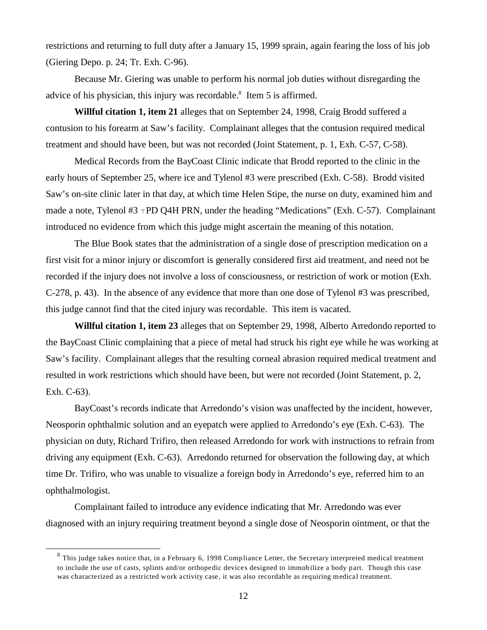restrictions and returning to full duty after a January 15, 1999 sprain, again fearing the loss of his job (Giering Depo. p. 24; Tr. Exh. C-96).

Because Mr. Giering was unable to perform his normal job duties without disregarding the advice of his physician, this injury was recordable.<sup>8</sup> Item 5 is affirmed.

**Willful citation 1, item 21** alleges that on September 24, 1998, Craig Brodd suffered a contusion to his forearm at Saw's facility. Complainant alleges that the contusion required medical treatment and should have been, but was not recorded (Joint Statement, p. 1, Exh. C-57, C-58).

Medical Records from the BayCoast Clinic indicate that Brodd reported to the clinic in the early hours of September 25, where ice and Tylenol #3 were prescribed (Exh. C-58). Brodd visited Saw's on-site clinic later in that day, at which time Helen Stipe, the nurse on duty, examined him and made a note, Tylenol #3  $\tau$ PD Q4H PRN, under the heading "Medications" (Exh. C-57). Complainant introduced no evidence from which this judge might ascertain the meaning of this notation.

The Blue Book states that the administration of a single dose of prescription medication on a first visit for a minor injury or discomfort is generally considered first aid treatment, and need not be recorded if the injury does not involve a loss of consciousness, or restriction of work or motion (Exh. C-278, p. 43). In the absence of any evidence that more than one dose of Tylenol #3 was prescribed, this judge cannot find that the cited injury was recordable. This item is vacated.

**Willful citation 1, item 23** alleges that on September 29, 1998, Alberto Arredondo reported to the BayCoast Clinic complaining that a piece of metal had struck his right eye while he was working at Saw's facility. Complainant alleges that the resulting corneal abrasion required medical treatment and resulted in work restrictions which should have been, but were not recorded (Joint Statement, p. 2, Exh. C-63).

BayCoast's records indicate that Arredondo's vision was unaffected by the incident, however, Neosporin ophthalmic solution and an eyepatch were applied to Arredondo's eye (Exh. C-63). The physician on duty, Richard Trifiro, then released Arredondo for work with instructions to refrain from driving any equipment (Exh. C-63). Arredondo returned for observation the following day, at which time Dr. Trifiro, who was unable to visualize a foreign body in Arredondo's eye, referred him to an ophthalmologist.

Complainant failed to introduce any evidence indicating that Mr. Arredondo was ever diagnosed with an injury requiring treatment beyond a single dose of Neosporin ointment, or that the

<sup>&</sup>lt;sup>8</sup> This judge takes notice that, in a February 6, 1998 Compliance Letter, the Secretary interpreted medical treatment to include the use of casts, splints and/or orthopedic devices designed to immobilize a body part. Though this case was characterized as a restricted work activity case, it was also recordable as requiring medical treatment.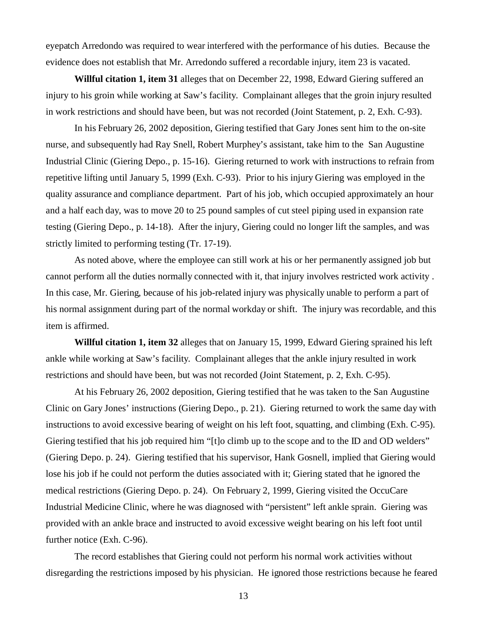eyepatch Arredondo was required to wear interfered with the performance of his duties. Because the evidence does not establish that Mr. Arredondo suffered a recordable injury, item 23 is vacated.

**Willful citation 1, item 31** alleges that on December 22, 1998, Edward Giering suffered an injury to his groin while working at Saw's facility. Complainant alleges that the groin injury resulted in work restrictions and should have been, but was not recorded (Joint Statement, p. 2, Exh. C-93).

In his February 26, 2002 deposition, Giering testified that Gary Jones sent him to the on-site nurse, and subsequently had Ray Snell, Robert Murphey's assistant, take him to the San Augustine Industrial Clinic (Giering Depo., p. 15-16). Giering returned to work with instructions to refrain from repetitive lifting until January 5, 1999 (Exh. C-93). Prior to his injury Giering was employed in the quality assurance and compliance department. Part of his job, which occupied approximately an hour and a half each day, was to move 20 to 25 pound samples of cut steel piping used in expansion rate testing (Giering Depo., p. 14-18). After the injury, Giering could no longer lift the samples, and was strictly limited to performing testing (Tr. 17-19).

As noted above, where the employee can still work at his or her permanently assigned job but cannot perform all the duties normally connected with it, that injury involves restricted work activity . In this case, Mr. Giering, because of his job-related injury was physically unable to perform a part of his normal assignment during part of the normal workday or shift. The injury was recordable, and this item is affirmed.

**Willful citation 1, item 32** alleges that on January 15, 1999, Edward Giering sprained his left ankle while working at Saw's facility. Complainant alleges that the ankle injury resulted in work restrictions and should have been, but was not recorded (Joint Statement, p. 2, Exh. C-95).

At his February 26, 2002 deposition, Giering testified that he was taken to the San Augustine Clinic on Gary Jones' instructions (Giering Depo., p. 21). Giering returned to work the same day with instructions to avoid excessive bearing of weight on his left foot, squatting, and climbing (Exh. C-95). Giering testified that his job required him "[t]o climb up to the scope and to the ID and OD welders" (Giering Depo. p. 24). Giering testified that his supervisor, Hank Gosnell, implied that Giering would lose his job if he could not perform the duties associated with it; Giering stated that he ignored the medical restrictions (Giering Depo. p. 24). On February 2, 1999, Giering visited the OccuCare Industrial Medicine Clinic, where he was diagnosed with "persistent" left ankle sprain. Giering was provided with an ankle brace and instructed to avoid excessive weight bearing on his left foot until further notice (Exh. C-96).

The record establishes that Giering could not perform his normal work activities without disregarding the restrictions imposed by his physician. He ignored those restrictions because he feared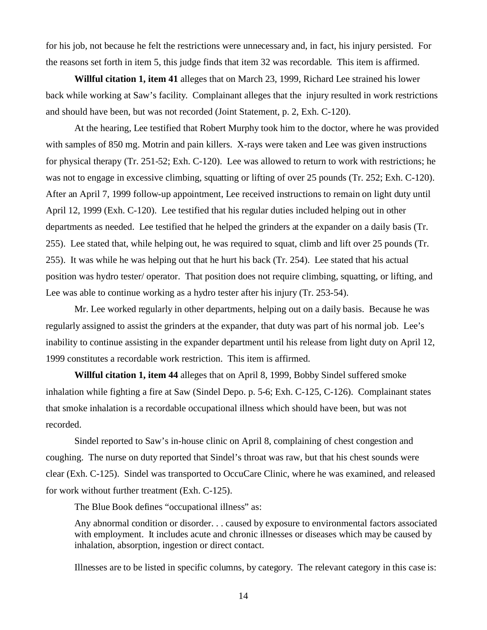for his job, not because he felt the restrictions were unnecessary and, in fact, his injury persisted. For the reasons set forth in item 5, this judge finds that item 32 was recordable. This item is affirmed.

**Willful citation 1, item 41** alleges that on March 23, 1999, Richard Lee strained his lower back while working at Saw's facility. Complainant alleges that the injury resulted in work restrictions and should have been, but was not recorded (Joint Statement, p. 2, Exh. C-120).

At the hearing, Lee testified that Robert Murphy took him to the doctor, where he was provided with samples of 850 mg. Motrin and pain killers. X-rays were taken and Lee was given instructions for physical therapy (Tr. 251-52; Exh. C-120). Lee was allowed to return to work with restrictions; he was not to engage in excessive climbing, squatting or lifting of over 25 pounds (Tr. 252; Exh. C-120). After an April 7, 1999 follow-up appointment, Lee received instructions to remain on light duty until April 12, 1999 (Exh. C-120). Lee testified that his regular duties included helping out in other departments as needed. Lee testified that he helped the grinders at the expander on a daily basis (Tr. 255). Lee stated that, while helping out, he was required to squat, climb and lift over 25 pounds (Tr. 255). It was while he was helping out that he hurt his back (Tr. 254). Lee stated that his actual position was hydro tester/ operator. That position does not require climbing, squatting, or lifting, and Lee was able to continue working as a hydro tester after his injury (Tr. 253-54).

Mr. Lee worked regularly in other departments, helping out on a daily basis. Because he was regularly assigned to assist the grinders at the expander, that duty was part of his normal job. Lee's inability to continue assisting in the expander department until his release from light duty on April 12, 1999 constitutes a recordable work restriction. This item is affirmed.

**Willful citation 1, item 44** alleges that on April 8, 1999, Bobby Sindel suffered smoke inhalation while fighting a fire at Saw (Sindel Depo. p. 5-6; Exh. C-125, C-126). Complainant states that smoke inhalation is a recordable occupational illness which should have been, but was not recorded.

Sindel reported to Saw's in-house clinic on April 8, complaining of chest congestion and coughing. The nurse on duty reported that Sindel's throat was raw, but that his chest sounds were clear (Exh. C-125). Sindel was transported to OccuCare Clinic, where he was examined, and released for work without further treatment (Exh. C-125).

The Blue Book defines "occupational illness" as:

Any abnormal condition or disorder. . . caused by exposure to environmental factors associated with employment. It includes acute and chronic illnesses or diseases which may be caused by inhalation, absorption, ingestion or direct contact.

Illnesses are to be listed in specific columns, by category. The relevant category in this case is: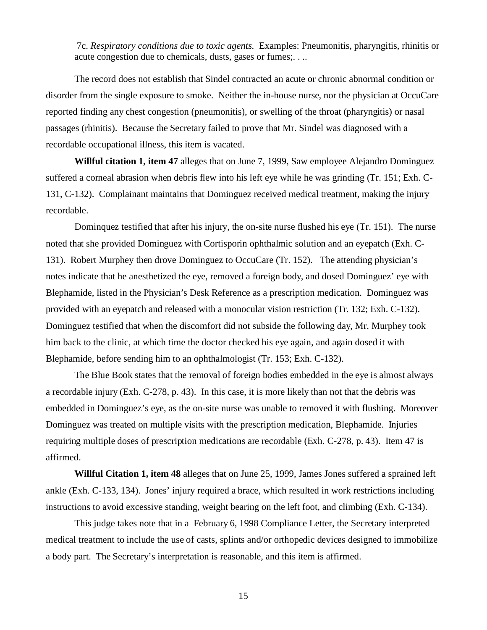7c. *Respiratory conditions due to toxic agents.* Examples: Pneumonitis, pharyngitis, rhinitis or acute congestion due to chemicals, dusts, gases or fumes;. . ..

The record does not establish that Sindel contracted an acute or chronic abnormal condition or disorder from the single exposure to smoke. Neither the in-house nurse, nor the physician at OccuCare reported finding any chest congestion (pneumonitis), or swelling of the throat (pharyngitis) or nasal passages (rhinitis). Because the Secretary failed to prove that Mr. Sindel was diagnosed with a recordable occupational illness, this item is vacated.

**Willful citation 1, item 47** alleges that on June 7, 1999, Saw employee Alejandro Dominguez suffered a corneal abrasion when debris flew into his left eye while he was grinding (Tr. 151; Exh. C-131, C-132). Complainant maintains that Dominguez received medical treatment, making the injury recordable.

Dominquez testified that after his injury, the on-site nurse flushed his eye (Tr. 151). The nurse noted that she provided Dominguez with Cortisporin ophthalmic solution and an eyepatch (Exh. C-131). Robert Murphey then drove Dominguez to OccuCare (Tr. 152). The attending physician's notes indicate that he anesthetized the eye, removed a foreign body, and dosed Dominguez' eye with Blephamide, listed in the Physician's Desk Reference as a prescription medication. Dominguez was provided with an eyepatch and released with a monocular vision restriction (Tr. 132; Exh. C-132). Dominguez testified that when the discomfort did not subside the following day, Mr. Murphey took him back to the clinic, at which time the doctor checked his eye again, and again dosed it with Blephamide, before sending him to an ophthalmologist (Tr. 153; Exh. C-132).

The Blue Book states that the removal of foreign bodies embedded in the eye is almost always a recordable injury (Exh. C-278, p. 43). In this case, it is more likely than not that the debris was embedded in Dominguez's eye, as the on-site nurse was unable to removed it with flushing. Moreover Dominguez was treated on multiple visits with the prescription medication, Blephamide. Injuries requiring multiple doses of prescription medications are recordable (Exh. C-278, p. 43). Item 47 is affirmed.

**Willful Citation 1, item 48** alleges that on June 25, 1999, James Jones suffered a sprained left ankle (Exh. C-133, 134). Jones' injury required a brace, which resulted in work restrictions including instructions to avoid excessive standing, weight bearing on the left foot, and climbing (Exh. C-134).

This judge takes note that in a February 6, 1998 Compliance Letter, the Secretary interpreted medical treatment to include the use of casts, splints and/or orthopedic devices designed to immobilize a body part. The Secretary's interpretation is reasonable, and this item is affirmed.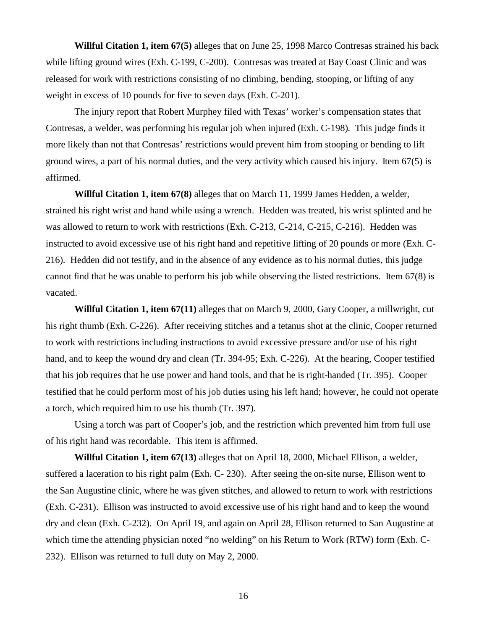**Willful Citation 1, item 67(5)** alleges that on June 25, 1998 Marco Contresas strained his back while lifting ground wires (Exh. C-199, C-200). Contresas was treated at Bay Coast Clinic and was released for work with restrictions consisting of no climbing, bending, stooping, or lifting of any weight in excess of 10 pounds for five to seven days (Exh. C-201).

The injury report that Robert Murphey filed with Texas' worker's compensation states that Contresas, a welder, was performing his regular job when injured (Exh. C-198). This judge finds it more likely than not that Contresas' restrictions would prevent him from stooping or bending to lift ground wires, a part of his normal duties, and the very activity which caused his injury. Item 67(5) is affirmed.

**Willful Citation 1, item 67(8)** alleges that on March 11, 1999 James Hedden, a welder, strained his right wrist and hand while using a wrench. Hedden was treated, his wrist splinted and he was allowed to return to work with restrictions (Exh. C-213, C-214, C-215, C-216). Hedden was instructed to avoid excessive use of his right hand and repetitive lifting of 20 pounds or more (Exh. C-216). Hedden did not testify, and in the absence of any evidence as to his normal duties, this judge cannot find that he was unable to perform his job while observing the listed restrictions. Item 67(8) is vacated.

**Willful Citation 1, item 67(11)** alleges that on March 9, 2000, Gary Cooper, a millwright, cut his right thumb (Exh. C-226). After receiving stitches and a tetanus shot at the clinic, Cooper returned to work with restrictions including instructions to avoid excessive pressure and/or use of his right hand, and to keep the wound dry and clean (Tr. 394-95; Exh. C-226). At the hearing, Cooper testified that his job requires that he use power and hand tools, and that he is right-handed (Tr. 395). Cooper testified that he could perform most of his job duties using his left hand; however, he could not operate a torch, which required him to use his thumb (Tr. 397).

Using a torch was part of Cooper's job, and the restriction which prevented him from full use of his right hand was recordable. This item is affirmed.

**Willful Citation 1, item 67(13)** alleges that on April 18, 2000, Michael Ellison, a welder, suffered a laceration to his right palm (Exh. C- 230). After seeing the on-site nurse, Ellison went to the San Augustine clinic, where he was given stitches, and allowed to return to work with restrictions (Exh. C-231). Ellison was instructed to avoid excessive use of his right hand and to keep the wound dry and clean (Exh. C-232). On April 19, and again on April 28, Ellison returned to San Augustine at which time the attending physician noted "no welding" on his Return to Work (RTW) form (Exh. C-232). Ellison was returned to full duty on May 2, 2000.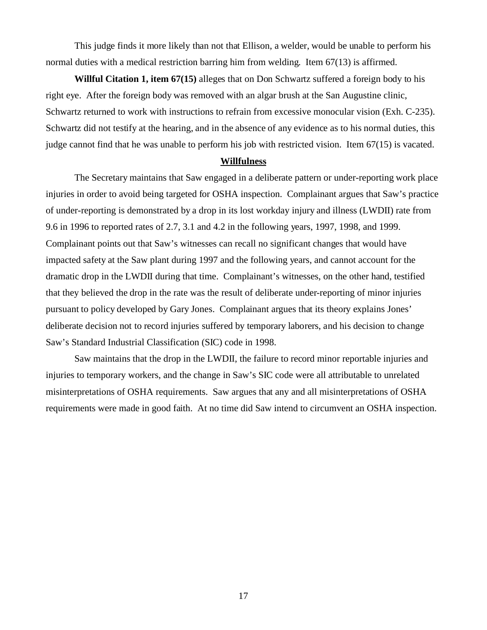This judge finds it more likely than not that Ellison, a welder, would be unable to perform his normal duties with a medical restriction barring him from welding. Item 67(13) is affirmed.

**Willful Citation 1, item 67(15)** alleges that on Don Schwartz suffered a foreign body to his right eye. After the foreign body was removed with an algar brush at the San Augustine clinic, Schwartz returned to work with instructions to refrain from excessive monocular vision (Exh. C-235). Schwartz did not testify at the hearing, and in the absence of any evidence as to his normal duties, this judge cannot find that he was unable to perform his job with restricted vision. Item 67(15) is vacated.

## **Willfulness**

The Secretary maintains that Saw engaged in a deliberate pattern or under-reporting work place injuries in order to avoid being targeted for OSHA inspection. Complainant argues that Saw's practice of under-reporting is demonstrated by a drop in its lost workday injury and illness (LWDII) rate from 9.6 in 1996 to reported rates of 2.7, 3.1 and 4.2 in the following years, 1997, 1998, and 1999. Complainant points out that Saw's witnesses can recall no significant changes that would have impacted safety at the Saw plant during 1997 and the following years, and cannot account for the dramatic drop in the LWDII during that time. Complainant's witnesses, on the other hand, testified that they believed the drop in the rate was the result of deliberate under-reporting of minor injuries pursuant to policy developed by Gary Jones. Complainant argues that its theory explains Jones' deliberate decision not to record injuries suffered by temporary laborers, and his decision to change Saw's Standard Industrial Classification (SIC) code in 1998.

Saw maintains that the drop in the LWDII, the failure to record minor reportable injuries and injuries to temporary workers, and the change in Saw's SIC code were all attributable to unrelated misinterpretations of OSHA requirements. Saw argues that any and all misinterpretations of OSHA requirements were made in good faith. At no time did Saw intend to circumvent an OSHA inspection.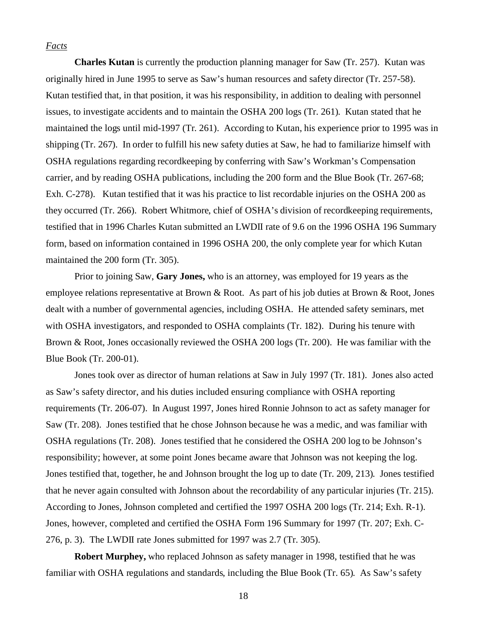# *Facts*

**Charles Kutan** is currently the production planning manager for Saw (Tr. 257). Kutan was originally hired in June 1995 to serve as Saw's human resources and safety director (Tr. 257-58). Kutan testified that, in that position, it was his responsibility, in addition to dealing with personnel issues, to investigate accidents and to maintain the OSHA 200 logs (Tr. 261). Kutan stated that he maintained the logs until mid-1997 (Tr. 261). According to Kutan, his experience prior to 1995 was in shipping (Tr. 267). In order to fulfill his new safety duties at Saw, he had to familiarize himself with OSHA regulations regarding recordkeeping by conferring with Saw's Workman's Compensation carrier, and by reading OSHA publications, including the 200 form and the Blue Book (Tr. 267-68; Exh. C-278). Kutan testified that it was his practice to list recordable injuries on the OSHA 200 as they occurred (Tr. 266). Robert Whitmore, chief of OSHA's division of recordkeeping requirements, testified that in 1996 Charles Kutan submitted an LWDII rate of 9.6 on the 1996 OSHA 196 Summary form, based on information contained in 1996 OSHA 200, the only complete year for which Kutan maintained the 200 form (Tr. 305).

Prior to joining Saw, **Gary Jones,** who is an attorney, was employed for 19 years as the employee relations representative at Brown & Root. As part of his job duties at Brown & Root, Jones dealt with a number of governmental agencies, including OSHA. He attended safety seminars, met with OSHA investigators, and responded to OSHA complaints (Tr. 182). During his tenure with Brown & Root, Jones occasionally reviewed the OSHA 200 logs (Tr. 200). He was familiar with the Blue Book (Tr. 200-01).

Jones took over as director of human relations at Saw in July 1997 (Tr. 181). Jones also acted as Saw's safety director, and his duties included ensuring compliance with OSHA reporting requirements (Tr. 206-07). In August 1997, Jones hired Ronnie Johnson to act as safety manager for Saw (Tr. 208). Jones testified that he chose Johnson because he was a medic, and was familiar with OSHA regulations (Tr. 208). Jones testified that he considered the OSHA 200 log to be Johnson's responsibility; however, at some point Jones became aware that Johnson was not keeping the log. Jones testified that, together, he and Johnson brought the log up to date (Tr. 209, 213). Jones testified that he never again consulted with Johnson about the recordability of any particular injuries (Tr. 215). According to Jones, Johnson completed and certified the 1997 OSHA 200 logs (Tr. 214; Exh. R-1). Jones, however, completed and certified the OSHA Form 196 Summary for 1997 (Tr. 207; Exh. C-276, p. 3). The LWDII rate Jones submitted for 1997 was 2.7 (Tr. 305).

**Robert Murphey,** who replaced Johnson as safety manager in 1998, testified that he was familiar with OSHA regulations and standards, including the Blue Book (Tr. 65). As Saw's safety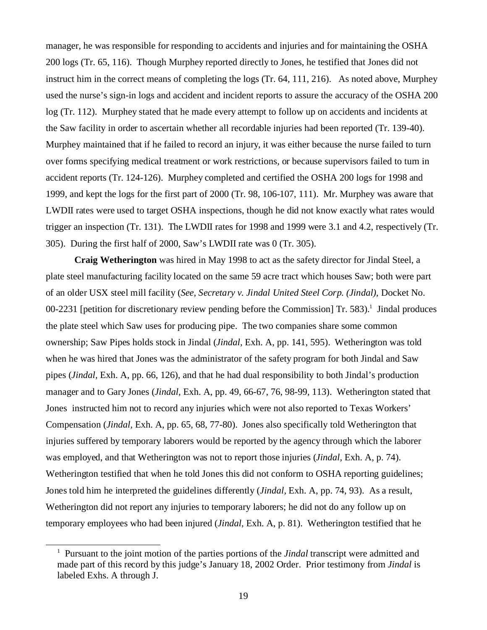manager, he was responsible for responding to accidents and injuries and for maintaining the OSHA 200 logs (Tr. 65, 116). Though Murphey reported directly to Jones, he testified that Jones did not instruct him in the correct means of completing the logs (Tr. 64, 111, 216). As noted above, Murphey used the nurse's sign-in logs and accident and incident reports to assure the accuracy of the OSHA 200 log (Tr. 112). Murphey stated that he made every attempt to follow up on accidents and incidents at the Saw facility in order to ascertain whether all recordable injuries had been reported (Tr. 139-40). Murphey maintained that if he failed to record an injury, it was either because the nurse failed to turn over forms specifying medical treatment or work restrictions, or because supervisors failed to turn in accident reports (Tr. 124-126). Murphey completed and certified the OSHA 200 logs for 1998 and 1999, and kept the logs for the first part of 2000 (Tr. 98, 106-107, 111). Mr. Murphey was aware that LWDII rates were used to target OSHA inspections, though he did not know exactly what rates would trigger an inspection (Tr. 131). The LWDII rates for 1998 and 1999 were 3.1 and 4.2, respectively (Tr. 305). During the first half of 2000, Saw's LWDII rate was 0 (Tr. 305).

**Craig Wetherington** was hired in May 1998 to act as the safety director for Jindal Steel, a plate steel manufacturing facility located on the same 59 acre tract which houses Saw; both were part of an older USX steel mill facility (*See, Secretary v. Jindal United Steel Corp. (Jindal),* Docket No. [00-2231](#page-30-0) [petition for discretionary review pending before the Commission] Tr. 583).<sup>1</sup> Jindal produces the plate steel which Saw uses for producing pipe. The two companies share some common ownership; Saw Pipes holds stock in Jindal (*Jindal,* Exh. A, pp. 141, 595). Wetherington was told when he was hired that Jones was the administrator of the safety program for both Jindal and Saw pipes (*Jindal,* Exh. A, pp. 66, 126), and that he had dual responsibility to both Jindal's production manager and to Gary Jones (*Jindal,* Exh. A, pp. 49, 66-67, 76, 98-99, 113). Wetherington stated that Jones instructed him not to record any injuries which were not also reported to Texas Workers' Compensation (*Jindal,* Exh. A, pp. 65, 68, 77-80). Jones also specifically told Wetherington that injuries suffered by temporary laborers would be reported by the agency through which the laborer was employed, and that Wetherington was not to report those injuries (*Jindal,* Exh. A, p. 74). Wetherington testified that when he told Jones this did not conform to OSHA reporting guidelines; Jones told him he interpreted the guidelines differently (*Jindal,* Exh. A, pp. 74, 93). As a result, Wetherington did not report any injuries to temporary laborers; he did not do any follow up on temporary employees who had been injured (*Jindal,* Exh. A, p. 81). Wetherington testified that he

[<sup>1</sup>](#page-30-0) Pursuant to the joint motion of the parties portions of the *Jindal* transcript were admitted and made part of this record by this judge's January 18, 2002 Order. Prior testimony from *Jindal* is labeled Exhs. A through J.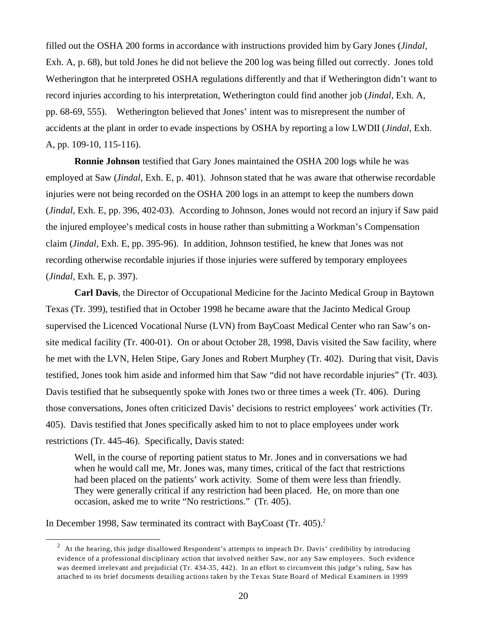filled out the OSHA 200 forms in accordance with instructions provided him by Gary Jones (*Jindal,*  Exh. A, p. 68), but told Jones he did not believe the 200 log was being filled out correctly. Jones told Wetherington that he interpreted OSHA regulations differently and that if Wetherington didn't want to record injuries according to his interpretation, Wetherington could find another job (*Jindal,* Exh. A, pp. 68-69, 555). Wetherington believed that Jones' intent was to misrepresent the number of accidents at the plant in order to evade inspections by OSHA by reporting a low LWDII (*Jindal,* Exh. A, pp. 109-10, 115-116).

**Ronnie Johnson** testified that Gary Jones maintained the OSHA 200 logs while he was employed at Saw (*Jindal*, Exh. E, p. 401). Johnson stated that he was aware that otherwise recordable injuries were not being recorded on the OSHA 200 logs in an attempt to keep the numbers down (*Jindal*, Exh. E, pp. 396, 402-03). According to Johnson, Jones would not record an injury if Saw paid the injured employee's medical costs in house rather than submitting a Workman's Compensation claim (*Jindal*, Exh. E, pp. 395-96). In addition, Johnson testified, he knew that Jones was not recording otherwise recordable injuries if those injuries were suffered by temporary employees (*Jindal,* Exh. E, p. 397).

**Carl Davis**, the Director of Occupational Medicine for the Jacinto Medical Group in Baytown Texas (Tr. 399), testified that in October 1998 he became aware that the Jacinto Medical Group supervised the Licenced Vocational Nurse (LVN) from BayCoast Medical Center who ran Saw's onsite medical facility (Tr. 400-01). On or about October 28, 1998, Davis visited the Saw facility, where he met with the LVN, Helen Stipe, Gary Jones and Robert Murphey (Tr. 402). During that visit, Davis testified, Jones took him aside and informed him that Saw "did not have recordable injuries" (Tr. 403). Davis testified that he subsequently spoke with Jones two or three times a week (Tr. 406). During those conversations, Jones often criticized Davis' decisions to restrict employees' work activities (Tr. 405). Davis testified that Jones specifically asked him to not to place employees under work restrictions (Tr. 445-46). Specifically, Davis stated:

Well, in the course of reporting patient status to Mr. Jones and in conversations we had when he would call me, Mr. Jones was, many times, critical of the fact that restrictions had been placed on the patients' work activity. Some of them were less than friendly. They were generally critical if any restriction had been placed. He, on more than one occasion, asked me to write "No restrictions." (Tr. 405).

In December 1998, Saw terminated its contract with BayCoast (Tr. 405).<sup>2</sup>

 $2$  At the hearing, this judge disallowed Respondent's attempts to impeach Dr. Davis' credibility by introducing evidence of a professional disciplinary action that involved neither Saw, nor any Saw employees. Such evidence was deemed irrelevant and prejudicial (Tr. 434-35, 442). In an effort to circumvent this judge's ruling, Saw has attached to its brief documents detailing actions taken by the Texas State Board of Medical Examiners in 1999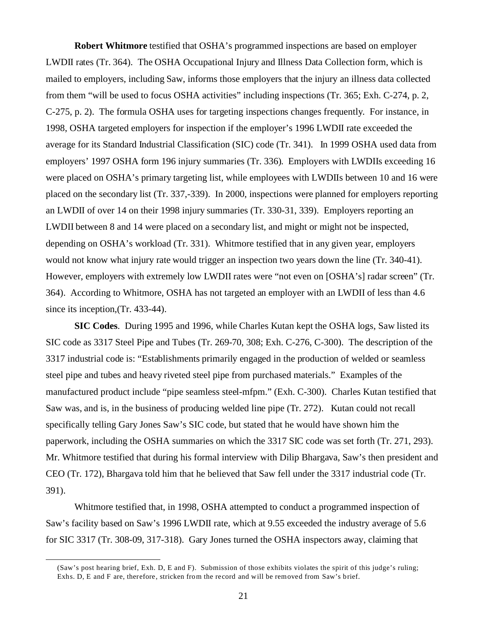**Robert Whitmore** testified that OSHA's programmed inspections are based on employer LWDII rates (Tr. 364). The OSHA Occupational Injury and Illness Data Collection form, which is mailed to employers, including Saw, informs those employers that the injury an illness data collected from them "will be used to focus OSHA activities" including inspections (Tr. 365; Exh. C-274, p. 2, C-275, p. 2). The formula OSHA uses for targeting inspections changes frequently. For instance, in 1998, OSHA targeted employers for inspection if the employer's 1996 LWDII rate exceeded the average for its Standard Industrial Classification (SIC) code (Tr. 341). In 1999 OSHA used data from employers' 1997 OSHA form 196 injury summaries (Tr. 336). Employers with LWDIIs exceeding 16 were placed on OSHA's primary targeting list, while employees with LWDIIs between 10 and 16 were placed on the secondary list (Tr. 337,-339). In 2000, inspections were planned for employers reporting an LWDII of over 14 on their 1998 injury summaries (Tr. 330-31, 339). Employers reporting an LWDII between 8 and 14 were placed on a secondary list, and might or might not be inspected, depending on OSHA's workload (Tr. 331). Whitmore testified that in any given year, employers would not know what injury rate would trigger an inspection two years down the line (Tr. 340-41). However, employers with extremely low LWDII rates were "not even on [OSHA's] radar screen" (Tr. 364). According to Whitmore, OSHA has not targeted an employer with an LWDII of less than 4.6 since its inception, (Tr. 433-44).

**SIC Codes**. During 1995 and 1996, while Charles Kutan kept the OSHA logs, Saw listed its SIC code as 3317 Steel Pipe and Tubes (Tr. 269-70, 308; Exh. C-276, C-300). The description of the 3317 industrial code is: "Establishments primarily engaged in the production of welded or seamless steel pipe and tubes and heavy riveted steel pipe from purchased materials." Examples of the manufactured product include "pipe seamless steel-mfpm." (Exh. C-300). Charles Kutan testified that Saw was, and is, in the business of producing welded line pipe (Tr. 272). Kutan could not recall specifically telling Gary Jones Saw's SIC code, but stated that he would have shown him the paperwork, including the OSHA summaries on which the 3317 SIC code was set forth (Tr. 271, 293). Mr. Whitmore testified that during his formal interview with Dilip Bhargava, Saw's then president and CEO (Tr. 172), Bhargava told him that he believed that Saw fell under the 3317 industrial code (Tr. 391).

Whitmore testified that, in 1998, OSHA attempted to conduct a programmed inspection of Saw's facility based on Saw's 1996 LWDII rate, which at 9.55 exceeded the industry average of 5.6 for SIC 3317 (Tr. 308-09, 317-318). Gary Jones turned the OSHA inspectors away, claiming that

<sup>(</sup>Saw's post hearing brief, Exh. D, E and F). Submission of those exhibits violates the spirit of this judge's ruling; Exhs. D, E and F are, therefore, stricken from the record and will be removed from Saw's brief.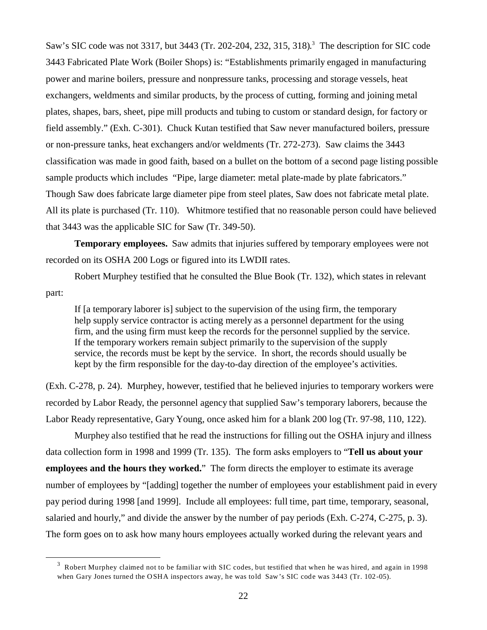Saw's SIC code was not 3317, but 3443 (Tr. 202-204, 232, 315, 318).<sup>3</sup> The description for SIC code 3443 Fabricated Plate Work (Boiler Shops) is: "Establishments primarily engaged in manufacturing power and marine boilers, pressure and nonpressure tanks, processing and storage vessels, heat exchangers, weldments and similar products, by the process of cutting, forming and joining metal plates, shapes, bars, sheet, pipe mill products and tubing to custom or standard design, for factory or field assembly." (Exh. C-301). Chuck Kutan testified that Saw never manufactured boilers, pressure or non-pressure tanks, heat exchangers and/or weldments (Tr. 272-273). Saw claims the 3443 classification was made in good faith, based on a bullet on the bottom of a second page listing possible sample products which includes "Pipe, large diameter: metal plate-made by plate fabricators." Though Saw does fabricate large diameter pipe from steel plates, Saw does not fabricate metal plate. All its plate is purchased (Tr. 110). Whitmore testified that no reasonable person could have believed that 3443 was the applicable SIC for Saw (Tr. 349-50).

**Temporary employees.** Saw admits that injuries suffered by temporary employees were not recorded on its OSHA 200 Logs or figured into its LWDII rates.

Robert Murphey testified that he consulted the Blue Book (Tr. 132), which states in relevant part:

If [a temporary laborer is] subject to the supervision of the using firm, the temporary help supply service contractor is acting merely as a personnel department for the using firm, and the using firm must keep the records for the personnel supplied by the service. If the temporary workers remain subject primarily to the supervision of the supply service, the records must be kept by the service. In short, the records should usually be kept by the firm responsible for the day-to-day direction of the employee's activities.

(Exh. C-278, p. 24). Murphey, however, testified that he believed injuries to temporary workers were recorded by Labor Ready, the personnel agency that supplied Saw's temporary laborers, because the Labor Ready representative, Gary Young, once asked him for a blank 200 log (Tr. 97-98, 110, 122).

Murphey also testified that he read the instructions for filling out the OSHA injury and illness data collection form in 1998 and 1999 (Tr. 135). The form asks employers to "**Tell us about your employees and the hours they worked.**" The form directs the employer to estimate its average number of employees by "[adding] together the number of employees your establishment paid in every pay period during 1998 [and 1999]. Include all employees: full time, part time, temporary, seasonal, salaried and hourly," and divide the answer by the number of pay periods (Exh. C-274, C-275, p. 3). The form goes on to ask how many hours employees actually worked during the relevant years and

<sup>3</sup> Robert Murphey claimed not to be familiar with SIC codes, but testified that when he was hired, and again in 1998 when Gary Jones turned the OSHA inspectors away, he was told Saw's SIC code was 3443 (Tr. 102-05).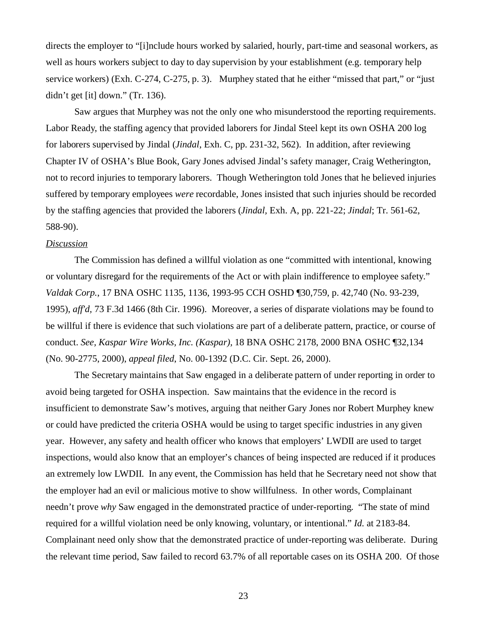directs the employer to "[i]nclude hours worked by salaried, hourly, part-time and seasonal workers, as well as hours workers subject to day to day supervision by your establishment (e.g. temporary help service workers) (Exh. C-274, C-275, p. 3). Murphey stated that he either "missed that part," or "just didn't get [it] down." (Tr. 136).

Saw argues that Murphey was not the only one who misunderstood the reporting requirements. Labor Ready, the staffing agency that provided laborers for Jindal Steel kept its own OSHA 200 log for laborers supervised by Jindal (*Jindal*, Exh. C, pp. 231-32, 562). In addition, after reviewing Chapter IV of OSHA's Blue Book, Gary Jones advised Jindal's safety manager, Craig Wetherington, not to record injuries to temporary laborers. Though Wetherington told Jones that he believed injuries suffered by temporary employees *were* recordable, Jones insisted that such injuries should be recorded by the staffing agencies that provided the laborers (*Jindal,* Exh. A, pp. 221-22; *Jindal*; Tr. 561-62, 588-90).

# *Discussion*

The Commission has defined a willful violation as one "committed with intentional, knowing or voluntary disregard for the requirements of the Act or with plain indifference to employee safety." *Valdak Corp.*, 17 BNA OSHC 1135, 1136, 1993-95 CCH OSHD ¶30,759, p. 42,740 (No. 93-239, 1995), *aff'd,* 73 F.3d 1466 (8th Cir. 1996). Moreover, a series of disparate violations may be found to be willful if there is evidence that such violations are part of a deliberate pattern, practice, or course of conduct. *See, Kaspar Wire Works, Inc. (Kaspar),* 18 BNA OSHC 2178, 2000 BNA OSHC ¶32,134 (No. 90-2775, 2000), *appeal filed*, No. 00-1392 (D.C. Cir. Sept. 26, 2000).

The Secretary maintains that Saw engaged in a deliberate pattern of under reporting in order to avoid being targeted for OSHA inspection. Saw maintains that the evidence in the record is insufficient to demonstrate Saw's motives, arguing that neither Gary Jones nor Robert Murphey knew or could have predicted the criteria OSHA would be using to target specific industries in any given year. However, any safety and health officer who knows that employers' LWDII are used to target inspections, would also know that an employer's chances of being inspected are reduced if it produces an extremely low LWDII. In any event, the Commission has held that he Secretary need not show that the employer had an evil or malicious motive to show willfulness. In other words, Complainant needn't prove *why* Saw engaged in the demonstrated practice of under-reporting. "The state of mind required for a willful violation need be only knowing, voluntary, or intentional." *Id.* at 2183-84. Complainant need only show that the demonstrated practice of under-reporting was deliberate. During the relevant time period, Saw failed to record 63.7% of all reportable cases on its OSHA 200. Of those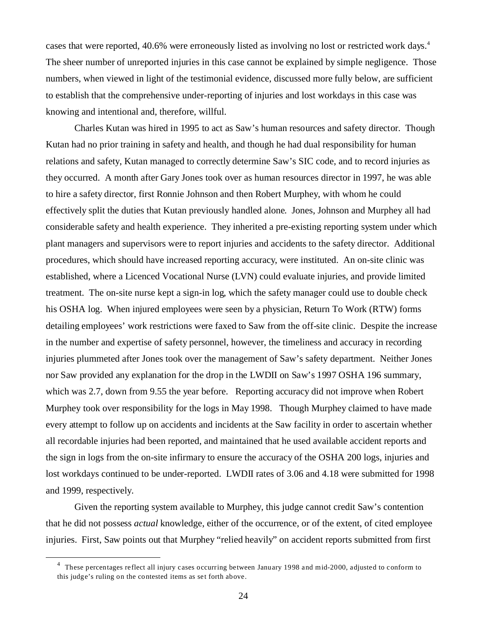cases that were reported, 40.6% were erroneously listed as involving no lost or restricted work days.4 The sheer number of unreported injuries in this case cannot be explained by simple negligence. Those numbers, when viewed in light of the testimonial evidence, discussed more fully below, are sufficient to establish that the comprehensive under-reporting of injuries and lost workdays in this case was knowing and intentional and, therefore, willful.

Charles Kutan was hired in 1995 to act as Saw's human resources and safety director. Though Kutan had no prior training in safety and health, and though he had dual responsibility for human relations and safety, Kutan managed to correctly determine Saw's SIC code, and to record injuries as they occurred. A month after Gary Jones took over as human resources director in 1997, he was able to hire a safety director, first Ronnie Johnson and then Robert Murphey, with whom he could effectively split the duties that Kutan previously handled alone. Jones, Johnson and Murphey all had considerable safety and health experience. They inherited a pre-existing reporting system under which plant managers and supervisors were to report injuries and accidents to the safety director. Additional procedures, which should have increased reporting accuracy, were instituted. An on-site clinic was established, where a Licenced Vocational Nurse (LVN) could evaluate injuries, and provide limited treatment. The on-site nurse kept a sign-in log, which the safety manager could use to double check his OSHA log. When injured employees were seen by a physician, Return To Work (RTW) forms detailing employees' work restrictions were faxed to Saw from the off-site clinic. Despite the increase in the number and expertise of safety personnel, however, the timeliness and accuracy in recording injuries plummeted after Jones took over the management of Saw's safety department. Neither Jones nor Saw provided any explanation for the drop in the LWDII on Saw's 1997 OSHA 196 summary, which was 2.7, down from 9.55 the year before. Reporting accuracy did not improve when Robert Murphey took over responsibility for the logs in May 1998. Though Murphey claimed to have made every attempt to follow up on accidents and incidents at the Saw facility in order to ascertain whether all recordable injuries had been reported, and maintained that he used available accident reports and the sign in logs from the on-site infirmary to ensure the accuracy of the OSHA 200 logs, injuries and lost workdays continued to be under-reported. LWDII rates of 3.06 and 4.18 were submitted for 1998 and 1999, respectively.

Given the reporting system available to Murphey, this judge cannot credit Saw's contention that he did not possess *actual* knowledge, either of the occurrence, or of the extent, of cited employee injuries. First, Saw points out that Murphey "relied heavily" on accident reports submitted from first

 $^4$  These percentages reflect all injury cases occurring between January 1998 and mid-2000, adjusted to conform to this judge's ruling on the contested items as set forth above.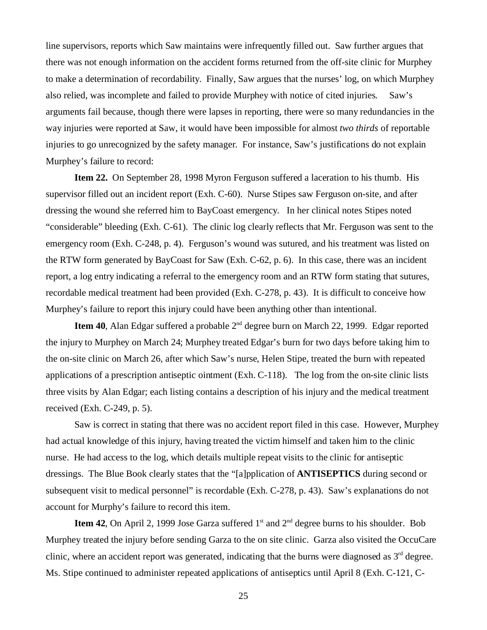line supervisors, reports which Saw maintains were infrequently filled out. Saw further argues that there was not enough information on the accident forms returned from the off-site clinic for Murphey to make a determination of recordability. Finally, Saw argues that the nurses' log, on which Murphey also relied, was incomplete and failed to provide Murphey with notice of cited injuries. Saw's arguments fail because, though there were lapses in reporting, there were so many redundancies in the way injuries were reported at Saw, it would have been impossible for almost *two thirds* of reportable injuries to go unrecognized by the safety manager. For instance, Saw's justifications do not explain Murphey's failure to record:

**Item 22.** On September 28, 1998 Myron Ferguson suffered a laceration to his thumb. His supervisor filled out an incident report (Exh. C-60). Nurse Stipes saw Ferguson on-site, and after dressing the wound she referred him to BayCoast emergency. In her clinical notes Stipes noted "considerable" bleeding (Exh. C-61). The clinic log clearly reflects that Mr. Ferguson was sent to the emergency room (Exh. C-248, p. 4). Ferguson's wound was sutured, and his treatment was listed on the RTW form generated by BayCoast for Saw (Exh. C-62, p. 6). In this case, there was an incident report, a log entry indicating a referral to the emergency room and an RTW form stating that sutures, recordable medical treatment had been provided (Exh. C-278, p. 43). It is difficult to conceive how Murphey's failure to report this injury could have been anything other than intentional.

**Item 40.** Alan Edgar suffered a probable 2<sup>nd</sup> degree burn on March 22, 1999. Edgar reported the injury to Murphey on March 24; Murphey treated Edgar's burn for two days before taking him to the on-site clinic on March 26, after which Saw's nurse, Helen Stipe, treated the burn with repeated applications of a prescription antiseptic ointment (Exh. C-118). The log from the on-site clinic lists three visits by Alan Edgar; each listing contains a description of his injury and the medical treatment received (Exh. C-249, p. 5).

Saw is correct in stating that there was no accident report filed in this case. However, Murphey had actual knowledge of this injury, having treated the victim himself and taken him to the clinic nurse. He had access to the log, which details multiple repeat visits to the clinic for antiseptic dressings. The Blue Book clearly states that the "[a]pplication of **ANTISEPTICS** during second or subsequent visit to medical personnel" is recordable (Exh. C-278, p. 43). Saw's explanations do not account for Murphy's failure to record this item.

**Item 42**, On April 2, 1999 Jose Garza suffered  $1<sup>st</sup>$  and  $2<sup>nd</sup>$  degree burns to his shoulder. Bob Murphey treated the injury before sending Garza to the on site clinic. Garza also visited the OccuCare clinic, where an accident report was generated, indicating that the burns were diagnosed as  $3<sup>rd</sup>$  degree. Ms. Stipe continued to administer repeated applications of antiseptics until April 8 (Exh. C-121, C-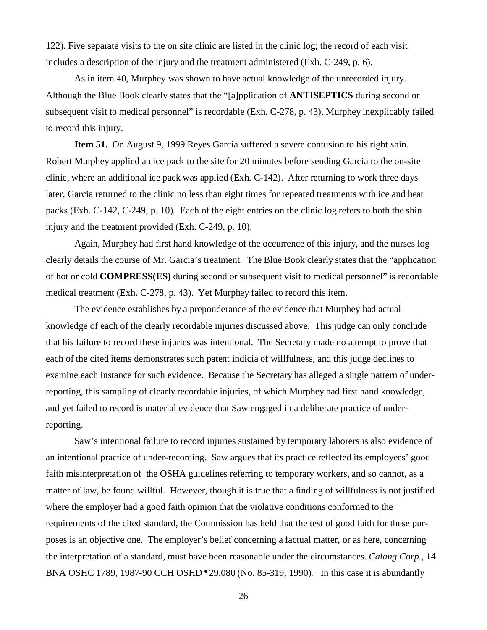122). Five separate visits to the on site clinic are listed in the clinic log; the record of each visit includes a description of the injury and the treatment administered (Exh. C-249, p. 6).

As in item 40, Murphey was shown to have actual knowledge of the unrecorded injury. Although the Blue Book clearly states that the "[a]pplication of **ANTISEPTICS** during second or subsequent visit to medical personnel" is recordable (Exh. C-278, p. 43), Murphey inexplicably failed to record this injury.

**Item 51.** On August 9, 1999 Reyes Garcia suffered a severe contusion to his right shin. Robert Murphey applied an ice pack to the site for 20 minutes before sending Garcia to the on-site clinic, where an additional ice pack was applied (Exh. C-142). After returning to work three days later, Garcia returned to the clinic no less than eight times for repeated treatments with ice and heat packs (Exh. C-142, C-249, p. 10). Each of the eight entries on the clinic log refers to both the shin injury and the treatment provided (Exh. C-249, p. 10).

Again, Murphey had first hand knowledge of the occurrence of this injury, and the nurses log clearly details the course of Mr. Garcia's treatment. The Blue Book clearly states that the "application of hot or cold **COMPRESS(ES)** during second or subsequent visit to medical personnel" is recordable medical treatment (Exh. C-278, p. 43). Yet Murphey failed to record this item.

The evidence establishes by a preponderance of the evidence that Murphey had actual knowledge of each of the clearly recordable injuries discussed above. This judge can only conclude that his failure to record these injuries was intentional. The Secretary made no attempt to prove that each of the cited items demonstrates such patent indicia of willfulness, and this judge declines to examine each instance for such evidence. Because the Secretary has alleged a single pattern of underreporting, this sampling of clearly recordable injuries, of which Murphey had first hand knowledge, and yet failed to record is material evidence that Saw engaged in a deliberate practice of underreporting.

Saw's intentional failure to record injuries sustained by temporary laborers is also evidence of an intentional practice of under-recording. Saw argues that its practice reflected its employees' good faith misinterpretation of the OSHA guidelines referring to temporary workers, and so cannot, as a matter of law, be found willful. However, though it is true that a finding of willfulness is not justified where the employer had a good faith opinion that the violative conditions conformed to the requirements of the cited standard, the Commission has held that the test of good faith for these purposes is an objective one. The employer's belief concerning a factual matter, or as here, concerning the interpretation of a standard, must have been reasonable under the circumstances. *Calang Corp.*, 14 BNA OSHC 1789, 1987-90 CCH OSHD ¶29,080 (No. 85-319, 1990). In this case it is abundantly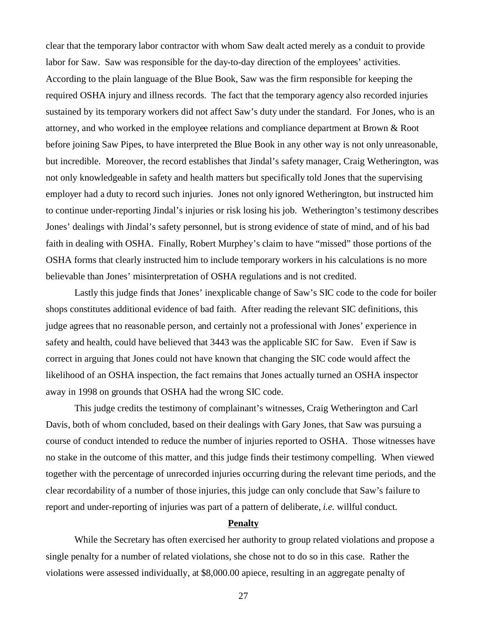clear that the temporary labor contractor with whom Saw dealt acted merely as a conduit to provide labor for Saw. Saw was responsible for the day-to-day direction of the employees' activities. According to the plain language of the Blue Book, Saw was the firm responsible for keeping the required OSHA injury and illness records. The fact that the temporary agency also recorded injuries sustained by its temporary workers did not affect Saw's duty under the standard. For Jones, who is an attorney, and who worked in the employee relations and compliance department at Brown & Root before joining Saw Pipes, to have interpreted the Blue Book in any other way is not only unreasonable, but incredible. Moreover, the record establishes that Jindal's safety manager, Craig Wetherington, was not only knowledgeable in safety and health matters but specifically told Jones that the supervising employer had a duty to record such injuries. Jones not only ignored Wetherington, but instructed him to continue under-reporting Jindal's injuries or risk losing his job. Wetherington's testimony describes Jones' dealings with Jindal's safety personnel, but is strong evidence of state of mind, and of his bad faith in dealing with OSHA. Finally, Robert Murphey's claim to have "missed" those portions of the OSHA forms that clearly instructed him to include temporary workers in his calculations is no more believable than Jones' misinterpretation of OSHA regulations and is not credited.

Lastly this judge finds that Jones' inexplicable change of Saw's SIC code to the code for boiler shops constitutes additional evidence of bad faith. After reading the relevant SIC definitions, this judge agrees that no reasonable person, and certainly not a professional with Jones' experience in safety and health, could have believed that 3443 was the applicable SIC for Saw. Even if Saw is correct in arguing that Jones could not have known that changing the SIC code would affect the likelihood of an OSHA inspection, the fact remains that Jones actually turned an OSHA inspector away in 1998 on grounds that OSHA had the wrong SIC code.

This judge credits the testimony of complainant's witnesses, Craig Wetherington and Carl Davis, both of whom concluded, based on their dealings with Gary Jones, that Saw was pursuing a course of conduct intended to reduce the number of injuries reported to OSHA. Those witnesses have no stake in the outcome of this matter, and this judge finds their testimony compelling. When viewed together with the percentage of unrecorded injuries occurring during the relevant time periods, and the clear recordability of a number of those injuries, this judge can only conclude that Saw's failure to report and under-reporting of injuries was part of a pattern of deliberate, *i.e.* willful conduct.

## **Penalty**

While the Secretary has often exercised her authority to group related violations and propose a single penalty for a number of related violations, she chose not to do so in this case. Rather the violations were assessed individually, at \$8,000.00 apiece, resulting in an aggregate penalty of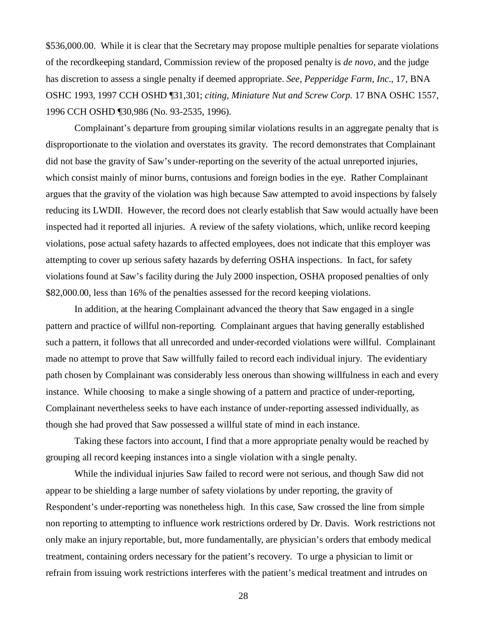\$536,000.00. While it is clear that the Secretary may propose multiple penalties for separate violations of the recordkeeping standard, Commission review of the proposed penalty is *de novo,* and the judge has discretion to assess a single penalty if deemed appropriate. *See, Pepperidge Farm, Inc.*, 17, BNA OSHC 1993, 1997 CCH OSHD ¶31,301; *citing, Miniature Nut and Screw Corp.* 17 BNA OSHC 1557, 1996 CCH OSHD ¶30,986 (No. 93-2535, 1996).

Complainant's departure from grouping similar violations results in an aggregate penalty that is disproportionate to the violation and overstates its gravity. The record demonstrates that Complainant did not base the gravity of Saw's under-reporting on the severity of the actual unreported injuries, which consist mainly of minor burns, contusions and foreign bodies in the eye. Rather Complainant argues that the gravity of the violation was high because Saw attempted to avoid inspections by falsely reducing its LWDII. However, the record does not clearly establish that Saw would actually have been inspected had it reported all injuries. A review of the safety violations, which, unlike record keeping violations, pose actual safety hazards to affected employees, does not indicate that this employer was attempting to cover up serious safety hazards by deferring OSHA inspections. In fact, for safety violations found at Saw's facility during the July 2000 inspection, OSHA proposed penalties of only \$82,000.00, less than 16% of the penalties assessed for the record keeping violations.

In addition, at the hearing Complainant advanced the theory that Saw engaged in a single pattern and practice of willful non-reporting. Complainant argues that having generally established such a pattern, it follows that all unrecorded and under-recorded violations were willful. Complainant made no attempt to prove that Saw willfully failed to record each individual injury. The evidentiary path chosen by Complainant was considerably less onerous than showing willfulness in each and every instance. While choosing to make a single showing of a pattern and practice of under-reporting, Complainant nevertheless seeks to have each instance of under-reporting assessed individually, as though she had proved that Saw possessed a willful state of mind in each instance.

Taking these factors into account, I find that a more appropriate penalty would be reached by grouping all record keeping instances into a single violation with a single penalty.

While the individual injuries Saw failed to record were not serious, and though Saw did not appear to be shielding a large number of safety violations by under reporting, the gravity of Respondent's under-reporting was nonetheless high. In this case, Saw crossed the line from simple non reporting to attempting to influence work restrictions ordered by Dr. Davis. Work restrictions not only make an injury reportable, but, more fundamentally, are physician's orders that embody medical treatment, containing orders necessary for the patient's recovery. To urge a physician to limit or refrain from issuing work restrictions interferes with the patient's medical treatment and intrudes on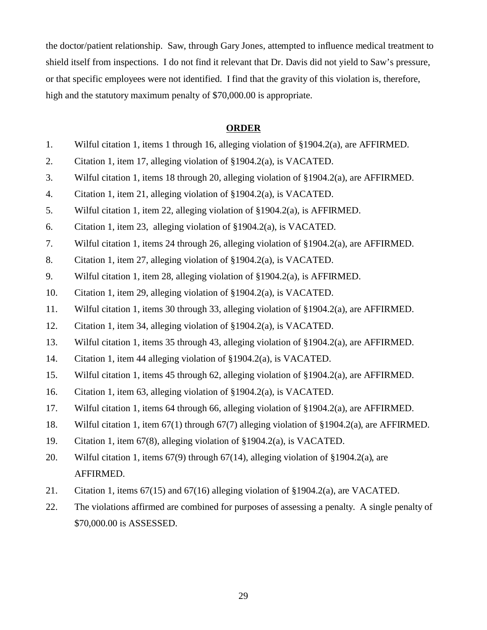<span id="page-30-0"></span>the doctor/patient relationship. Saw, through Gary Jones, attempted to influence medical treatment to shield itself from inspections. I do not find it relevant that Dr. Davis did not yield to Saw's pressure, or that specific employees were not identified. I find that the gravity of this violation is, therefore, high and the statutory maximum penalty of \$70,000.00 is appropriate.

# **ORDER**

- 1. Wilful citation 1, items 1 through 16, alleging violation of §1904.2(a), are AFFIRMED.
- 2. Citation 1, item 17, alleging violation of §1904.2(a), is VACATED.
- 3. Wilful citation 1, items 18 through 20, alleging violation of §1904.2(a), are AFFIRMED.
- 4. Citation 1, item 21, alleging violation of §1904.2(a), is VACATED.
- 5. Wilful citation 1, item 22, alleging violation of  $\S 1904.2(a)$ , is AFFIRMED.
- 6. Citation 1, item 23, alleging violation of §1904.2(a), is VACATED.
- 7. Wilful citation 1, items 24 through 26, alleging violation of §1904.2(a), are AFFIRMED.
- 8. Citation 1, item 27, alleging violation of §1904.2(a), is VACATED.
- 9. Wilful citation 1, item 28, alleging violation of  $\S 1904.2(a)$ , is AFFIRMED.
- 10. Citation 1, item 29, alleging violation of §1904.2(a), is VACATED.
- 11. Wilful citation 1, items 30 through 33, alleging violation of §1904.2(a), are AFFIRMED.
- 12. Citation 1, item 34, alleging violation of §1904.2(a), is VACATED.
- 13. Wilful citation 1, items 35 through 43, alleging violation of §1904.2(a), are AFFIRMED.
- 14. Citation 1, item 44 alleging violation of §1904.2(a), is VACATED.
- 15. Wilful citation 1, items 45 through 62, alleging violation of §1904.2(a), are AFFIRMED.
- 16. Citation 1, item 63, alleging violation of §1904.2(a), is VACATED.
- 17. Wilful citation 1, items 64 through 66, alleging violation of §1904.2(a), are AFFIRMED.
- 18. Wilful citation 1, item 67(1) through 67(7) alleging violation of §1904.2(a), are AFFIRMED.
- 19. Citation 1, item 67(8), alleging violation of §1904.2(a), is VACATED.
- 20. Wilful citation 1, items 67(9) through 67(14), alleging violation of  $$1904.2(a)$ , are AFFIRMED.
- 21. Citation 1, items  $67(15)$  and  $67(16)$  alleging violation of §1904.2(a), are VACATED.
- 22. The violations affirmed are combined for purposes of assessing a penalty. A single penalty of \$70,000.00 is ASSESSED.